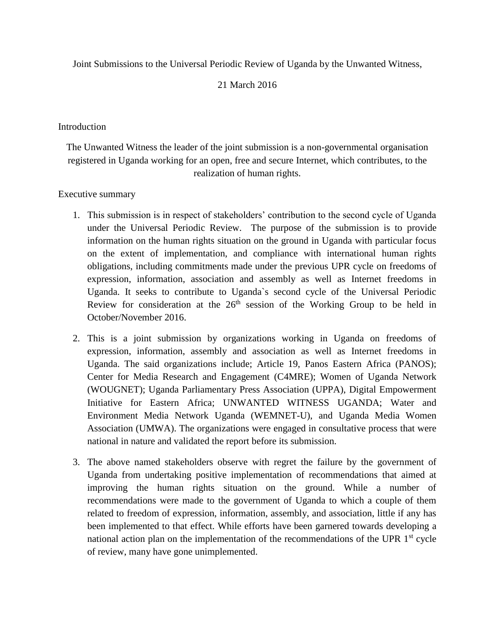Joint Submissions to the Universal Periodic Review of Uganda by the Unwanted Witness,

# 21 March 2016

### **Introduction**

The Unwanted Witness the leader of the joint submission is a non-governmental organisation registered in Uganda working for an open, free and secure Internet, which contributes, to the realization of human rights.

### Executive summary

- 1. This submission is in respect of stakeholders' contribution to the second cycle of Uganda under the Universal Periodic Review. The purpose of the submission is to provide information on the human rights situation on the ground in Uganda with particular focus on the extent of implementation, and compliance with international human rights obligations, including commitments made under the previous UPR cycle on freedoms of expression, information, association and assembly as well as Internet freedoms in Uganda. It seeks to contribute to Uganda`s second cycle of the Universal Periodic Review for consideration at the  $26<sup>th</sup>$  session of the Working Group to be held in October/November 2016.
- 2. This is a joint submission by organizations working in Uganda on freedoms of expression, information, assembly and association as well as Internet freedoms in Uganda. The said organizations include; Article 19, Panos Eastern Africa (PANOS); Center for Media Research and Engagement (C4MRE); Women of Uganda Network (WOUGNET); Uganda Parliamentary Press Association (UPPA), Digital Empowerment Initiative for Eastern Africa; UNWANTED WITNESS UGANDA; Water and Environment Media Network Uganda (WEMNET-U), and Uganda Media Women Association (UMWA). The organizations were engaged in consultative process that were national in nature and validated the report before its submission.
- 3. The above named stakeholders observe with regret the failure by the government of Uganda from undertaking positive implementation of recommendations that aimed at improving the human rights situation on the ground. While a number of recommendations were made to the government of Uganda to which a couple of them related to freedom of expression, information, assembly, and association, little if any has been implemented to that effect. While efforts have been garnered towards developing a national action plan on the implementation of the recommendations of the UPR  $1<sup>st</sup>$  cycle of review, many have gone unimplemented.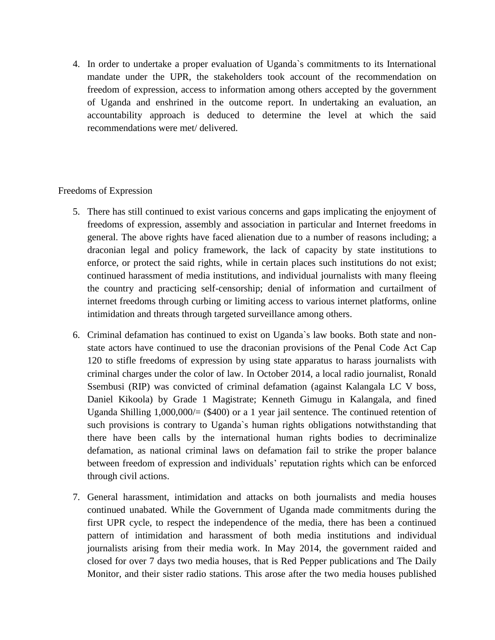4. In order to undertake a proper evaluation of Uganda`s commitments to its International mandate under the UPR, the stakeholders took account of the recommendation on freedom of expression, access to information among others accepted by the government of Uganda and enshrined in the outcome report. In undertaking an evaluation, an accountability approach is deduced to determine the level at which the said recommendations were met/ delivered.

#### Freedoms of Expression

- 5. There has still continued to exist various concerns and gaps implicating the enjoyment of freedoms of expression, assembly and association in particular and Internet freedoms in general. The above rights have faced alienation due to a number of reasons including; a draconian legal and policy framework, the lack of capacity by state institutions to enforce, or protect the said rights, while in certain places such institutions do not exist; continued harassment of media institutions, and individual journalists with many fleeing the country and practicing self-censorship; denial of information and curtailment of internet freedoms through curbing or limiting access to various internet platforms, online intimidation and threats through targeted surveillance among others.
- 6. Criminal defamation has continued to exist on Uganda`s law books. Both state and nonstate actors have continued to use the draconian provisions of the Penal Code Act Cap 120 to stifle freedoms of expression by using state apparatus to harass journalists with criminal charges under the color of law. In October 2014, a local radio journalist, Ronald Ssembusi (RIP) was convicted of criminal defamation (against Kalangala LC V boss, Daniel Kikoola) by Grade 1 Magistrate; Kenneth Gimugu in Kalangala, and fined Uganda Shilling 1,000,000/= (\$400) or a 1 year jail sentence. The continued retention of such provisions is contrary to Uganda`s human rights obligations notwithstanding that there have been calls by the international human rights bodies to decriminalize defamation, as national criminal laws on defamation fail to strike the proper balance between freedom of expression and individuals' reputation rights which can be enforced through civil actions.
- 7. General harassment, intimidation and attacks on both journalists and media houses continued unabated. While the Government of Uganda made commitments during the first UPR cycle, to respect the independence of the media, there has been a continued pattern of intimidation and harassment of both media institutions and individual journalists arising from their media work. In May 2014, the government raided and closed for over 7 days two media houses, that is Red Pepper publications and The Daily Monitor, and their sister radio stations. This arose after the two media houses published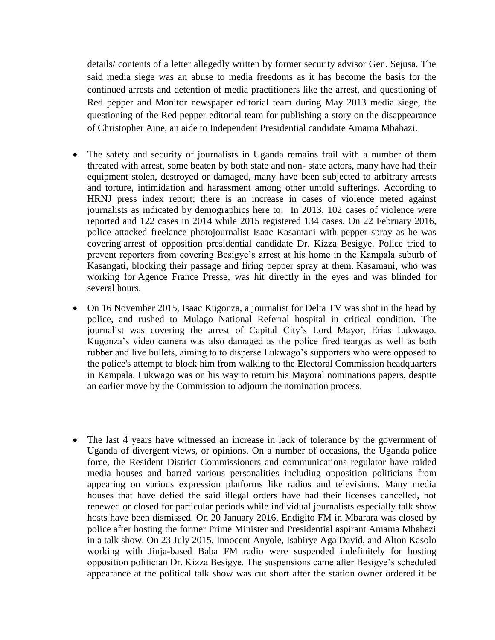details/ contents of a letter allegedly written by former security advisor Gen. Sejusa. The said media siege was an abuse to media freedoms as it has become the basis for the continued arrests and detention of media practitioners like the arrest, and questioning of Red pepper and Monitor newspaper editorial team during May 2013 media siege, the questioning of the Red pepper editorial team for publishing a story on the disappearance of Christopher Aine, an aide to Independent Presidential candidate Amama Mbabazi.

- The safety and security of journalists in Uganda remains frail with a number of them threated with arrest, some beaten by both state and non- state actors, many have had their equipment stolen, destroyed or damaged, many have been subjected to arbitrary arrests and torture, intimidation and harassment among other untold sufferings. According to HRNJ press index report; there is an increase in cases of violence meted against journalists as indicated by demographics here to: In 2013, 102 cases of violence were reported and 122 cases in 2014 while 2015 registered 134 cases. On 22 February 2016, police attacked freelance photojournalist Isaac Kasamani with pepper spray as he was covering arrest of opposition presidential candidate Dr. Kizza Besigye. Police tried to prevent reporters from covering Besigye's arrest at his home in the Kampala suburb of Kasangati, blocking their passage and firing pepper spray at them. Kasamani, who was working for Agence France Presse, was hit directly in the eyes and was blinded for several hours.
- On 16 November 2015, Isaac Kugonza, a journalist for Delta TV was shot in the head by police, and rushed to Mulago National Referral hospital in critical condition. The journalist was covering the arrest of Capital City's Lord Mayor, Erias Lukwago. Kugonza's video camera was also damaged as the police fired teargas as well as both rubber and live bullets, aiming to to disperse Lukwago's supporters who were opposed to the police's attempt to block him from walking to the Electoral Commission headquarters in Kampala. Lukwago was on his way to return his Mayoral nominations papers, despite an earlier move by the Commission to adjourn the nomination process.
- The last 4 years have witnessed an increase in lack of tolerance by the government of Uganda of divergent views, or opinions. On a number of occasions, the Uganda police force, the Resident District Commissioners and communications regulator have raided media houses and barred various personalities including opposition politicians from appearing on various expression platforms like radios and televisions. Many media houses that have defied the said illegal orders have had their licenses cancelled, not renewed or closed for particular periods while individual journalists especially talk show hosts have been dismissed. On 20 January 2016, Endigito FM in Mbarara was closed by police after hosting the former Prime Minister and Presidential aspirant Amama Mbabazi in a talk show. On 23 July 2015, Innocent Anyole, Isabirye Aga David, and Alton Kasolo working with Jinja-based Baba FM radio were suspended indefinitely for hosting opposition politician Dr. Kizza Besigye. The suspensions came after Besigye's scheduled appearance at the political talk show was cut short after the station owner ordered it be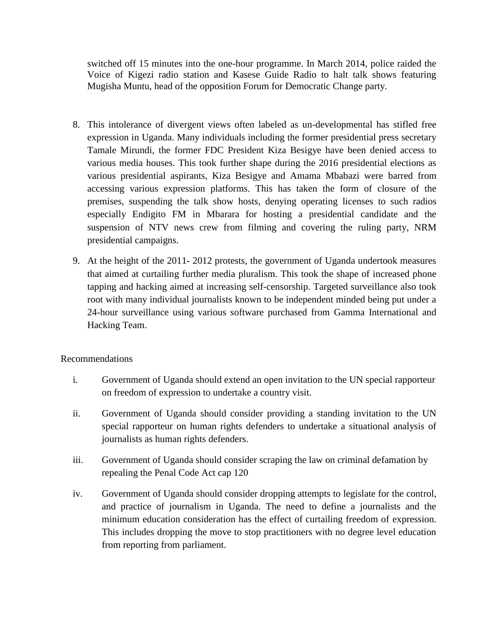switched off 15 minutes into the one-hour programme. In March 2014, police raided the Voice of Kigezi radio station and Kasese Guide Radio to halt talk shows featuring Mugisha Muntu, head of the opposition Forum for Democratic Change party.

- 8. This intolerance of divergent views often labeled as un-developmental has stifled free expression in Uganda. Many individuals including the former presidential press secretary Tamale Mirundi, the former FDC President Kiza Besigye have been denied access to various media houses. This took further shape during the 2016 presidential elections as various presidential aspirants, Kiza Besigye and Amama Mbabazi were barred from accessing various expression platforms. This has taken the form of closure of the premises, suspending the talk show hosts, denying operating licenses to such radios especially Endigito FM in Mbarara for hosting a presidential candidate and the suspension of NTV news crew from filming and covering the ruling party, NRM presidential campaigns.
- 9. At the height of the 2011- 2012 protests, the government of Uganda undertook measures that aimed at curtailing further media pluralism. This took the shape of increased phone tapping and hacking aimed at increasing self-censorship. Targeted surveillance also took root with many individual journalists known to be independent minded being put under a 24-hour surveillance using various software purchased from Gamma International and Hacking Team.

## Recommendations

- i. Government of Uganda should extend an open invitation to the UN special rapporteur on freedom of expression to undertake a country visit.
- ii. Government of Uganda should consider providing a standing invitation to the UN special rapporteur on human rights defenders to undertake a situational analysis of journalists as human rights defenders.
- iii. Government of Uganda should consider scraping the law on criminal defamation by repealing the Penal Code Act cap 120
- iv. Government of Uganda should consider dropping attempts to legislate for the control, and practice of journalism in Uganda. The need to define a journalists and the minimum education consideration has the effect of curtailing freedom of expression. This includes dropping the move to stop practitioners with no degree level education from reporting from parliament.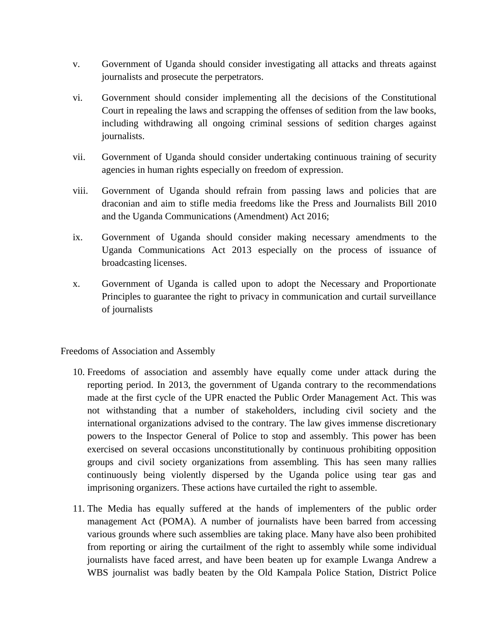- v. Government of Uganda should consider investigating all attacks and threats against journalists and prosecute the perpetrators.
- vi. Government should consider implementing all the decisions of the Constitutional Court in repealing the laws and scrapping the offenses of sedition from the law books, including withdrawing all ongoing criminal sessions of sedition charges against journalists.
- vii. Government of Uganda should consider undertaking continuous training of security agencies in human rights especially on freedom of expression.
- viii. Government of Uganda should refrain from passing laws and policies that are draconian and aim to stifle media freedoms like the Press and Journalists Bill 2010 and the Uganda Communications (Amendment) Act 2016;
- ix. Government of Uganda should consider making necessary amendments to the Uganda Communications Act 2013 especially on the process of issuance of broadcasting licenses.
- x. Government of Uganda is called upon to adopt the Necessary and Proportionate Principles to guarantee the right to privacy in communication and curtail surveillance of journalists

Freedoms of Association and Assembly

- 10. Freedoms of association and assembly have equally come under attack during the reporting period. In 2013, the government of Uganda contrary to the recommendations made at the first cycle of the UPR enacted the Public Order Management Act. This was not withstanding that a number of stakeholders, including civil society and the international organizations advised to the contrary. The law gives immense discretionary powers to the Inspector General of Police to stop and assembly. This power has been exercised on several occasions unconstitutionally by continuous prohibiting opposition groups and civil society organizations from assembling. This has seen many rallies continuously being violently dispersed by the Uganda police using tear gas and imprisoning organizers. These actions have curtailed the right to assemble.
- 11. The Media has equally suffered at the hands of implementers of the public order management Act (POMA). A number of journalists have been barred from accessing various grounds where such assemblies are taking place. Many have also been prohibited from reporting or airing the curtailment of the right to assembly while some individual journalists have faced arrest, and have been beaten up for example Lwanga Andrew a WBS journalist was badly beaten by the Old Kampala Police Station, District Police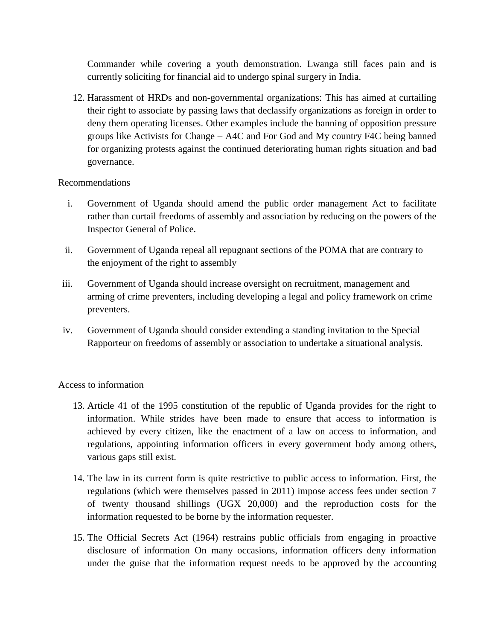Commander while covering a youth demonstration. Lwanga still faces pain and is currently soliciting for financial aid to undergo spinal surgery in India.

12. Harassment of HRDs and non-governmental organizations: This has aimed at curtailing their right to associate by passing laws that declassify organizations as foreign in order to deny them operating licenses. Other examples include the banning of opposition pressure groups like Activists for Change – A4C and For God and My country F4C being banned for organizing protests against the continued deteriorating human rights situation and bad governance.

### Recommendations

- i. Government of Uganda should amend the public order management Act to facilitate rather than curtail freedoms of assembly and association by reducing on the powers of the Inspector General of Police.
- ii. Government of Uganda repeal all repugnant sections of the POMA that are contrary to the enjoyment of the right to assembly
- iii. Government of Uganda should increase oversight on recruitment, management and arming of crime preventers, including developing a legal and policy framework on crime preventers.
- iv. Government of Uganda should consider extending a standing invitation to the Special Rapporteur on freedoms of assembly or association to undertake a situational analysis.

## Access to information

- 13. Article 41 of the 1995 constitution of the republic of Uganda provides for the right to information. While strides have been made to ensure that access to information is achieved by every citizen, like the enactment of a law on access to information, and regulations, appointing information officers in every government body among others, various gaps still exist.
- 14. The law in its current form is quite restrictive to public access to information. First, the regulations (which were themselves passed in 2011) impose access fees under section 7 of twenty thousand shillings (UGX 20,000) and the reproduction costs for the information requested to be borne by the information requester.
- 15. The Official Secrets Act (1964) restrains public officials from engaging in proactive disclosure of information On many occasions, information officers deny information under the guise that the information request needs to be approved by the accounting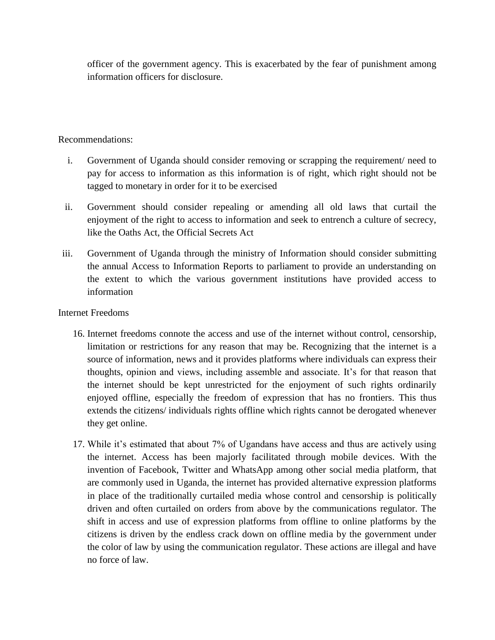officer of the government agency. This is exacerbated by the fear of punishment among information officers for disclosure.

### Recommendations:

- i. Government of Uganda should consider removing or scrapping the requirement/ need to pay for access to information as this information is of right, which right should not be tagged to monetary in order for it to be exercised
- ii. Government should consider repealing or amending all old laws that curtail the enjoyment of the right to access to information and seek to entrench a culture of secrecy, like the Oaths Act, the Official Secrets Act
- iii. Government of Uganda through the ministry of Information should consider submitting the annual Access to Information Reports to parliament to provide an understanding on the extent to which the various government institutions have provided access to information

### Internet Freedoms

- 16. Internet freedoms connote the access and use of the internet without control, censorship, limitation or restrictions for any reason that may be. Recognizing that the internet is a source of information, news and it provides platforms where individuals can express their thoughts, opinion and views, including assemble and associate. It's for that reason that the internet should be kept unrestricted for the enjoyment of such rights ordinarily enjoyed offline, especially the freedom of expression that has no frontiers. This thus extends the citizens/ individuals rights offline which rights cannot be derogated whenever they get online.
- 17. While it's estimated that about 7% of Ugandans have access and thus are actively using the internet. Access has been majorly facilitated through mobile devices. With the invention of Facebook, Twitter and WhatsApp among other social media platform, that are commonly used in Uganda, the internet has provided alternative expression platforms in place of the traditionally curtailed media whose control and censorship is politically driven and often curtailed on orders from above by the communications regulator. The shift in access and use of expression platforms from offline to online platforms by the citizens is driven by the endless crack down on offline media by the government under the color of law by using the communication regulator. These actions are illegal and have no force of law.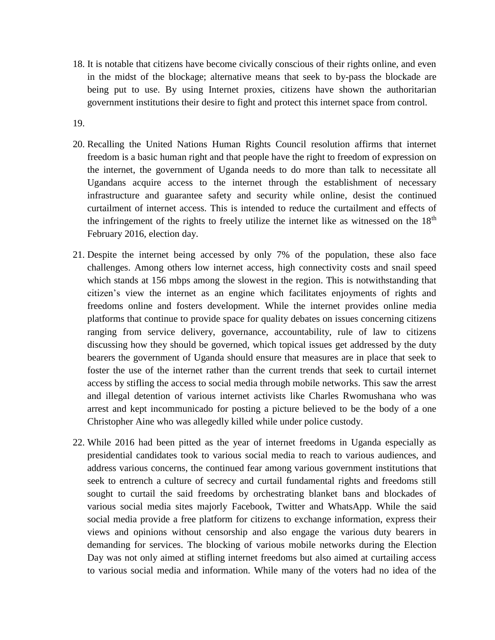18. It is notable that citizens have become civically conscious of their rights online, and even in the midst of the blockage; alternative means that seek to by-pass the blockade are being put to use. By using Internet proxies, citizens have shown the authoritarian government institutions their desire to fight and protect this internet space from control.

19.

- 20. Recalling the United Nations Human Rights Council resolution affirms that internet freedom is a basic human right and that people have the right to freedom of expression on the internet, the government of Uganda needs to do more than talk to necessitate all Ugandans acquire access to the internet through the establishment of necessary infrastructure and guarantee safety and security while online, desist the continued curtailment of internet access. This is intended to reduce the curtailment and effects of the infringement of the rights to freely utilize the internet like as witnessed on the  $18<sup>th</sup>$ February 2016, election day.
- 21. Despite the internet being accessed by only 7% of the population, these also face challenges. Among others low internet access, high connectivity costs and snail speed which stands at 156 mbps among the slowest in the region. This is notwithstanding that citizen's view the internet as an engine which facilitates enjoyments of rights and freedoms online and fosters development. While the internet provides online media platforms that continue to provide space for quality debates on issues concerning citizens ranging from service delivery, governance, accountability, rule of law to citizens discussing how they should be governed, which topical issues get addressed by the duty bearers the government of Uganda should ensure that measures are in place that seek to foster the use of the internet rather than the current trends that seek to curtail internet access by stifling the access to social media through mobile networks. This saw the arrest and illegal detention of various internet activists like Charles Rwomushana who was arrest and kept incommunicado for posting a picture believed to be the body of a one Christopher Aine who was allegedly killed while under police custody.
- 22. While 2016 had been pitted as the year of internet freedoms in Uganda especially as presidential candidates took to various social media to reach to various audiences, and address various concerns, the continued fear among various government institutions that seek to entrench a culture of secrecy and curtail fundamental rights and freedoms still sought to curtail the said freedoms by orchestrating blanket bans and blockades of various social media sites majorly Facebook, Twitter and WhatsApp. While the said social media provide a free platform for citizens to exchange information, express their views and opinions without censorship and also engage the various duty bearers in demanding for services. The blocking of various mobile networks during the Election Day was not only aimed at stifling internet freedoms but also aimed at curtailing access to various social media and information. While many of the voters had no idea of the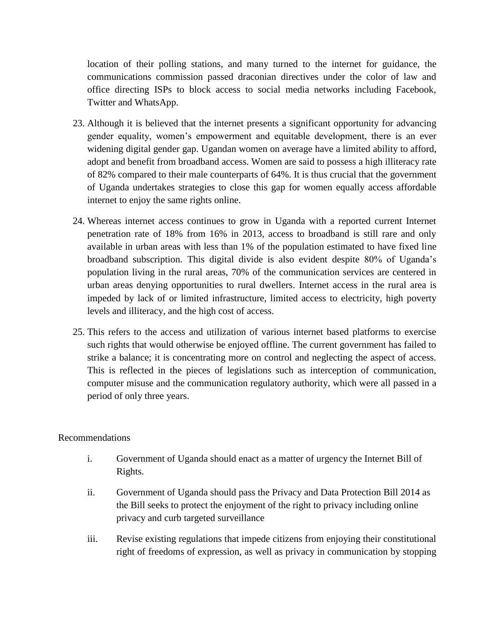location of their polling stations, and many turned to the internet for guidance, the communications commission passed draconian directives under the color of law and office directing ISPs to block access to social media networks including Facebook, Twitter and WhatsApp.

- 23. Although it is believed that the internet presents a significant opportunity for advancing gender equality, women's empowerment and equitable development, there is an ever widening digital gender gap. Ugandan women on average have a limited ability to afford, adopt and benefit from broadband access. Women are said to possess a high illiteracy rate of 82% compared to their male counterparts of 64%. It is thus crucial that the government of Uganda undertakes strategies to close this gap for women equally access affordable internet to enjoy the same rights online.
- 24. Whereas internet access continues to grow in Uganda with a reported current Internet penetration rate of 18% from 16% in 2013, access to broadband is still rare and only available in urban areas with less than 1% of the population estimated to have fixed line broadband subscription. This digital divide is also evident despite 80% of Uganda's population living in the rural areas, 70% of the communication services are centered in urban areas denying opportunities to rural dwellers. Internet access in the rural area is impeded by lack of or limited infrastructure, limited access to electricity, high poverty levels and illiteracy, and the high cost of access.
- 25. This refers to the access and utilization of various internet based platforms to exercise such rights that would otherwise be enjoyed offline. The current government has failed to strike a balance; it is concentrating more on control and neglecting the aspect of access. This is reflected in the pieces of legislations such as interception of communication, computer misuse and the communication regulatory authority, which were all passed in a period of only three years.

## Recommendations

- i. Government of Uganda should enact as a matter of urgency the Internet Bill of Rights.
- ii. Government of Uganda should pass the Privacy and Data Protection Bill 2014 as the Bill seeks to protect the enjoyment of the right to privacy including online privacy and curb targeted surveillance
- iii. Revise existing regulations that impede citizens from enjoying their constitutional right of freedoms of expression, as well as privacy in communication by stopping